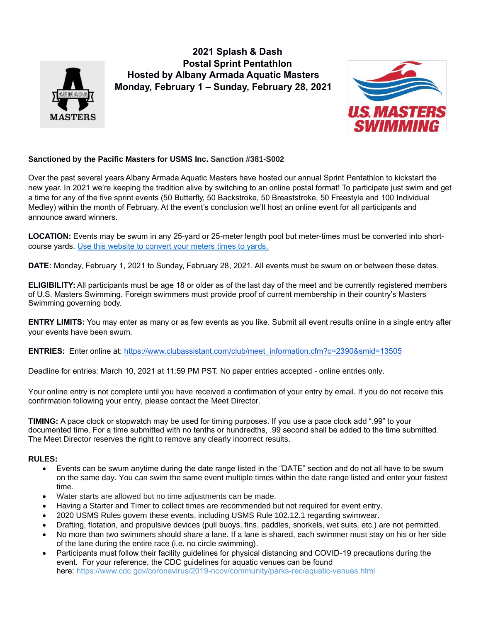

**2021 Splash & Dash Postal Sprint Pentathlon Hosted by Albany Armada Aquatic Masters Monday, February 1 – Sunday, February 28, 2021**



## **Sanctioned by the Pacific Masters for USMS Inc. Sanction #381-S002**

Over the past several years Albany Armada Aquatic Masters have hosted our annual Sprint Pentathlon to kickstart the new year. In 2021 we're keeping the tradition alive by switching to an online postal format! To participate just swim and get a time for any of the five sprint events (50 Butterfly, 50 Backstroke, 50 Breaststroke, 50 Freestyle and 100 Individual Medley) within the month of February. At the event's conclusion we'll host an online event for all participants and announce award winners.

**LOCATION:** Events may be swum in any 25-yard or 25-meter length pool but meter-times must be converted into shortcourse yards. [Use this website to convert your meters times to yards.](https://www.si-swimming.com/times/time-conversion/)

**DATE:** Monday, February 1, 2021 to Sunday, February 28, 2021. All events must be swum on or between these dates.

**ELIGIBILITY:** All participants must be age 18 or older as of the last day of the meet and be currently registered members of U.S. Masters Swimming. Foreign swimmers must provide proof of current membership in their country's Masters Swimming governing body.

**ENTRY LIMITS:** You may enter as many or as few events as you like. Submit all event results online in a single entry after your events have been swum.

**ENTRIES:** Enter online at: [https://www.clubassistant.com/club/meet\\_information.cfm?c=2390&smid=13505](https://www.clubassistant.com/club/meet_information.cfm?c=2390&smid=13505)

Deadline for entries: March 10, 2021 at 11:59 PM PST. No paper entries accepted - online entries only.

Your online entry is not complete until you have received a confirmation of your entry by email. If you do not receive this confirmation following your entry, please contact the Meet Director.

**TIMING:** A pace clock or stopwatch may be used for timing purposes. If you use a pace clock add ".99" to your documented time. For a time submitted with no tenths or hundredths, .99 second shall be added to the time submitted. The Meet Director reserves the right to remove any clearly incorrect results.

## **RULES:**

- Events can be swum anytime during the date range listed in the "DATE" section and do not all have to be swum on the same day. You can swim the same event multiple times within the date range listed and enter your fastest time.
- Water starts are allowed but no time adjustments can be made.
- Having a Starter and Timer to collect times are recommended but not required for event entry.
- 2020 USMS Rules govern these events, including USMS Rule 102.12.1 regarding swimwear.
- Drafting, flotation, and propulsive devices (pull buoys, fins, paddles, snorkels, wet suits, etc.) are not permitted.
- No more than two swimmers should share a lane. If a lane is shared, each swimmer must stay on his or her side of the lane during the entire race (i.e. no circle swimming).
- Participants must follow their facility guidelines for physical distancing and COVID-19 precautions during the event. For your reference, the CDC guidelines for aquatic venues can be found here: <https://www.cdc.gov/coronavirus/2019-ncov/community/parks-rec/aquatic-venues.html>